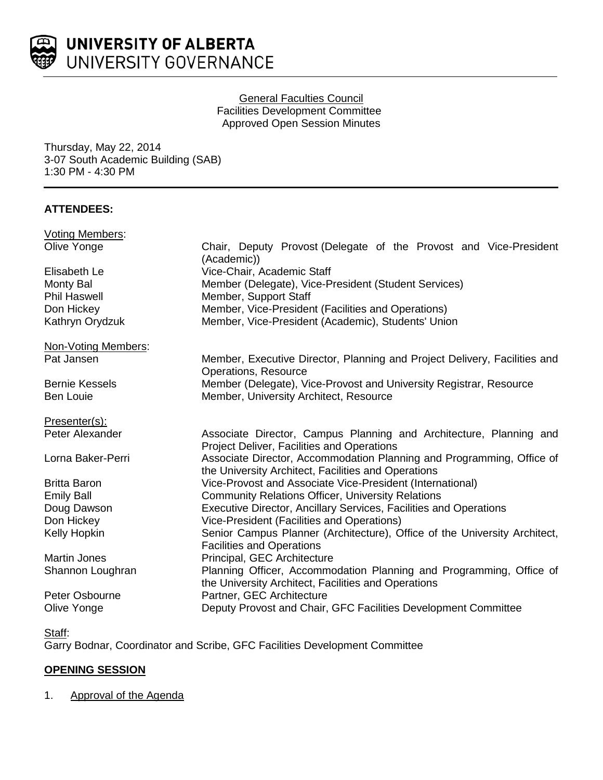

### General Faculties Council Facilities Development Committee Approved Open Session Minutes

Thursday, May 22, 2014 3-07 South Academic Building (SAB) 1:30 PM - 4:30 PM

# **ATTENDEES:**

| Chair, Deputy Provost (Delegate of the Provost and Vice-President<br>(Academic))                                             |
|------------------------------------------------------------------------------------------------------------------------------|
| Vice-Chair, Academic Staff                                                                                                   |
| Member (Delegate), Vice-President (Student Services)                                                                         |
| Member, Support Staff                                                                                                        |
| Member, Vice-President (Facilities and Operations)                                                                           |
| Member, Vice-President (Academic), Students' Union                                                                           |
|                                                                                                                              |
| Member, Executive Director, Planning and Project Delivery, Facilities and<br><b>Operations, Resource</b>                     |
| Member (Delegate), Vice-Provost and University Registrar, Resource                                                           |
| Member, University Architect, Resource                                                                                       |
|                                                                                                                              |
| Associate Director, Campus Planning and Architecture, Planning and<br>Project Deliver, Facilities and Operations             |
| Associate Director, Accommodation Planning and Programming, Office of<br>the University Architect, Facilities and Operations |
| Vice-Provost and Associate Vice-President (International)                                                                    |
| <b>Community Relations Officer, University Relations</b>                                                                     |
| Executive Director, Ancillary Services, Facilities and Operations                                                            |
| Vice-President (Facilities and Operations)                                                                                   |
| Senior Campus Planner (Architecture), Office of the University Architect,<br><b>Facilities and Operations</b>                |
| Principal, GEC Architecture                                                                                                  |
| Planning Officer, Accommodation Planning and Programming, Office of<br>the University Architect, Facilities and Operations   |
| Partner, GEC Architecture                                                                                                    |
| Deputy Provost and Chair, GFC Facilities Development Committee                                                               |
|                                                                                                                              |

Garry Bodnar, Coordinator and Scribe, GFC Facilities Development Committee

# **OPENING SESSION**

### 1. Approval of the Agenda

Staff: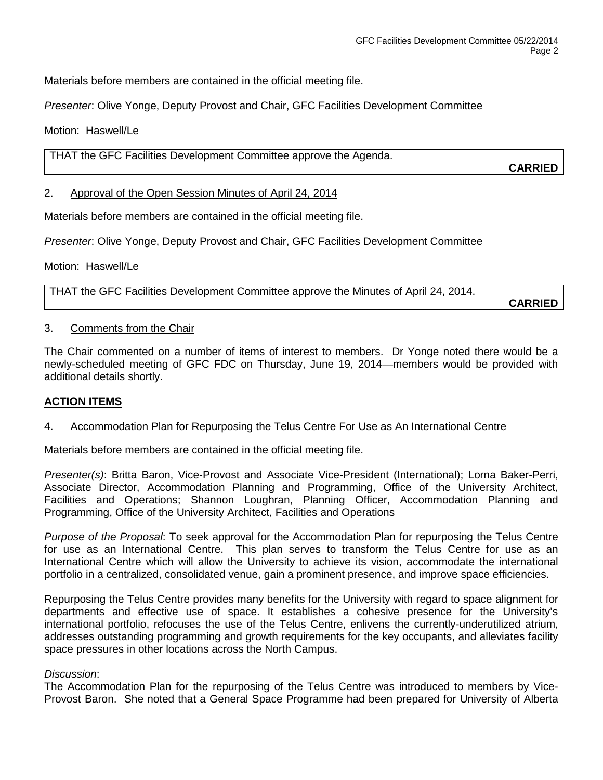Materials before members are contained in the official meeting file.

*Presenter*: Olive Yonge, Deputy Provost and Chair, GFC Facilities Development Committee

Motion: Haswell/Le

THAT the GFC Facilities Development Committee approve the Agenda.

**CARRIED**

#### 2. Approval of the Open Session Minutes of April 24, 2014

Materials before members are contained in the official meeting file.

*Presenter*: Olive Yonge, Deputy Provost and Chair, GFC Facilities Development Committee

Motion: Haswell/Le

THAT the GFC Facilities Development Committee approve the Minutes of April 24, 2014.

**CARRIED**

#### 3. Comments from the Chair

The Chair commented on a number of items of interest to members. Dr Yonge noted there would be a newly-scheduled meeting of GFC FDC on Thursday, June 19, 2014—members would be provided with additional details shortly.

#### **ACTION ITEMS**

#### 4. Accommodation Plan for Repurposing the Telus Centre For Use as An International Centre

Materials before members are contained in the official meeting file.

*Presenter(s)*: Britta Baron, Vice-Provost and Associate Vice-President (International); Lorna Baker-Perri, Associate Director, Accommodation Planning and Programming, Office of the University Architect, Facilities and Operations; Shannon Loughran, Planning Officer, Accommodation Planning and Programming, Office of the University Architect, Facilities and Operations

*Purpose of the Proposal*: To seek approval for the Accommodation Plan for repurposing the Telus Centre for use as an International Centre. This plan serves to transform the Telus Centre for use as an International Centre which will allow the University to achieve its vision, accommodate the international portfolio in a centralized, consolidated venue, gain a prominent presence, and improve space efficiencies.

Repurposing the Telus Centre provides many benefits for the University with regard to space alignment for departments and effective use of space. It establishes a cohesive presence for the University's international portfolio, refocuses the use of the Telus Centre, enlivens the currently-underutilized atrium, addresses outstanding programming and growth requirements for the key occupants, and alleviates facility space pressures in other locations across the North Campus.

#### *Discussion*:

The Accommodation Plan for the repurposing of the Telus Centre was introduced to members by Vice-Provost Baron. She noted that a General Space Programme had been prepared for University of Alberta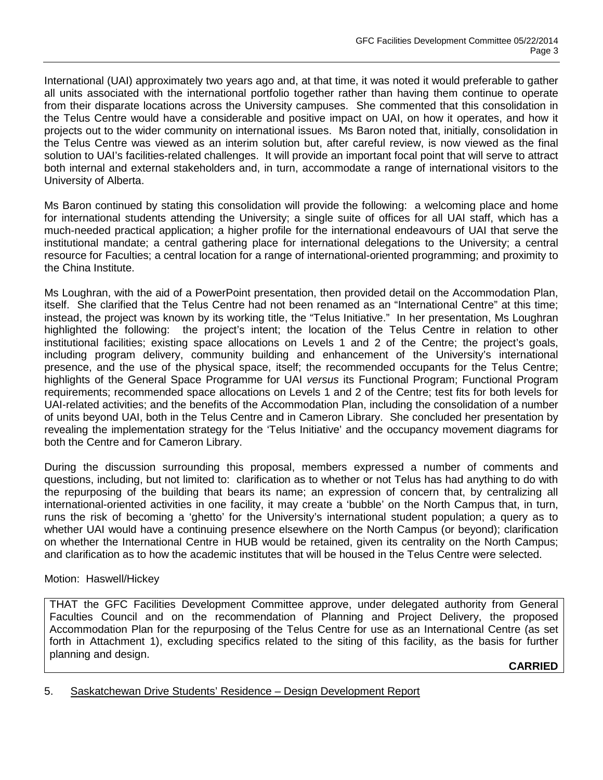International (UAI) approximately two years ago and, at that time, it was noted it would preferable to gather all units associated with the international portfolio together rather than having them continue to operate from their disparate locations across the University campuses. She commented that this consolidation in the Telus Centre would have a considerable and positive impact on UAI, on how it operates, and how it projects out to the wider community on international issues. Ms Baron noted that, initially, consolidation in the Telus Centre was viewed as an interim solution but, after careful review, is now viewed as the final solution to UAI's facilities-related challenges. It will provide an important focal point that will serve to attract both internal and external stakeholders and, in turn, accommodate a range of international visitors to the University of Alberta.

Ms Baron continued by stating this consolidation will provide the following: a welcoming place and home for international students attending the University; a single suite of offices for all UAI staff, which has a much-needed practical application; a higher profile for the international endeavours of UAI that serve the institutional mandate; a central gathering place for international delegations to the University; a central resource for Faculties; a central location for a range of international-oriented programming; and proximity to the China Institute.

Ms Loughran, with the aid of a PowerPoint presentation, then provided detail on the Accommodation Plan, itself. She clarified that the Telus Centre had not been renamed as an "International Centre" at this time; instead, the project was known by its working title, the "Telus Initiative." In her presentation, Ms Loughran highlighted the following: the project's intent; the location of the Telus Centre in relation to other institutional facilities; existing space allocations on Levels 1 and 2 of the Centre; the project's goals, including program delivery, community building and enhancement of the University's international presence, and the use of the physical space, itself; the recommended occupants for the Telus Centre; highlights of the General Space Programme for UAI *versus* its Functional Program; Functional Program requirements; recommended space allocations on Levels 1 and 2 of the Centre; test fits for both levels for UAI-related activities; and the benefits of the Accommodation Plan, including the consolidation of a number of units beyond UAI, both in the Telus Centre and in Cameron Library. She concluded her presentation by revealing the implementation strategy for the 'Telus Initiative' and the occupancy movement diagrams for both the Centre and for Cameron Library.

During the discussion surrounding this proposal, members expressed a number of comments and questions, including, but not limited to: clarification as to whether or not Telus has had anything to do with the repurposing of the building that bears its name; an expression of concern that, by centralizing all international-oriented activities in one facility, it may create a 'bubble' on the North Campus that, in turn, runs the risk of becoming a 'ghetto' for the University's international student population; a query as to whether UAI would have a continuing presence elsewhere on the North Campus (or beyond); clarification on whether the International Centre in HUB would be retained, given its centrality on the North Campus; and clarification as to how the academic institutes that will be housed in the Telus Centre were selected.

#### Motion: Haswell/Hickey

THAT the GFC Facilities Development Committee approve, under delegated authority from General Faculties Council and on the recommendation of Planning and Project Delivery, the proposed Accommodation Plan for the repurposing of the Telus Centre for use as an International Centre (as set forth in Attachment 1), excluding specifics related to the siting of this facility, as the basis for further planning and design.

**CARRIED**

#### 5. Saskatchewan Drive Students' Residence – Design Development Report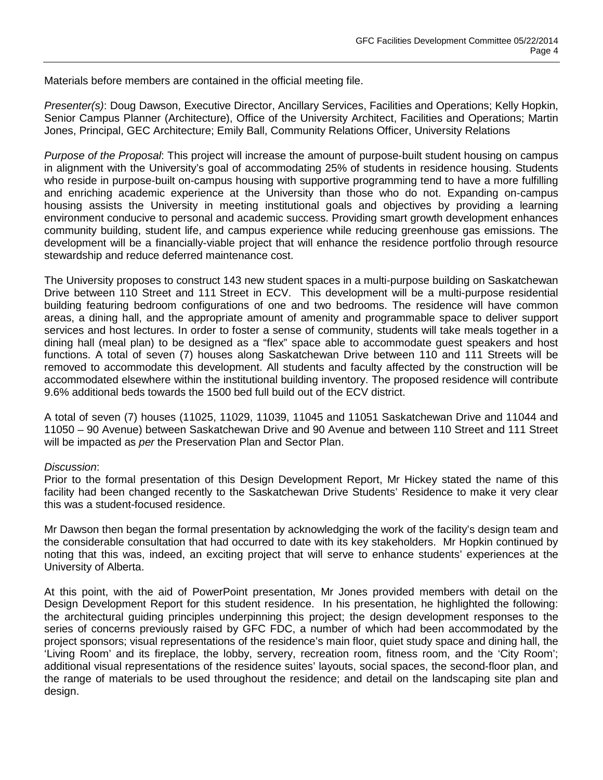Materials before members are contained in the official meeting file.

*Presenter(s)*: Doug Dawson, Executive Director, Ancillary Services, Facilities and Operations; Kelly Hopkin, Senior Campus Planner (Architecture), Office of the University Architect, Facilities and Operations; Martin Jones, Principal, GEC Architecture; Emily Ball, Community Relations Officer, University Relations

*Purpose of the Proposal*: This project will increase the amount of purpose-built student housing on campus in alignment with the University's goal of accommodating 25% of students in residence housing. Students who reside in purpose-built on-campus housing with supportive programming tend to have a more fulfilling and enriching academic experience at the University than those who do not. Expanding on-campus housing assists the University in meeting institutional goals and objectives by providing a learning environment conducive to personal and academic success. Providing smart growth development enhances community building, student life, and campus experience while reducing greenhouse gas emissions. The development will be a financially-viable project that will enhance the residence portfolio through resource stewardship and reduce deferred maintenance cost.

The University proposes to construct 143 new student spaces in a multi-purpose building on Saskatchewan Drive between 110 Street and 111 Street in ECV. This development will be a multi-purpose residential building featuring bedroom configurations of one and two bedrooms. The residence will have common areas, a dining hall, and the appropriate amount of amenity and programmable space to deliver support services and host lectures. In order to foster a sense of community, students will take meals together in a dining hall (meal plan) to be designed as a "flex" space able to accommodate guest speakers and host functions. A total of seven (7) houses along Saskatchewan Drive between 110 and 111 Streets will be removed to accommodate this development. All students and faculty affected by the construction will be accommodated elsewhere within the institutional building inventory. The proposed residence will contribute 9.6% additional beds towards the 1500 bed full build out of the ECV district.

A total of seven (7) houses (11025, 11029, 11039, 11045 and 11051 Saskatchewan Drive and 11044 and 11050 – 90 Avenue) between Saskatchewan Drive and 90 Avenue and between 110 Street and 111 Street will be impacted as *per* the Preservation Plan and Sector Plan.

#### *Discussion*:

Prior to the formal presentation of this Design Development Report, Mr Hickey stated the name of this facility had been changed recently to the Saskatchewan Drive Students' Residence to make it very clear this was a student-focused residence.

Mr Dawson then began the formal presentation by acknowledging the work of the facility's design team and the considerable consultation that had occurred to date with its key stakeholders. Mr Hopkin continued by noting that this was, indeed, an exciting project that will serve to enhance students' experiences at the University of Alberta.

At this point, with the aid of PowerPoint presentation, Mr Jones provided members with detail on the Design Development Report for this student residence. In his presentation, he highlighted the following: the architectural guiding principles underpinning this project; the design development responses to the series of concerns previously raised by GFC FDC, a number of which had been accommodated by the project sponsors; visual representations of the residence's main floor, quiet study space and dining hall, the 'Living Room' and its fireplace, the lobby, servery, recreation room, fitness room, and the 'City Room'; additional visual representations of the residence suites' layouts, social spaces, the second-floor plan, and the range of materials to be used throughout the residence; and detail on the landscaping site plan and design.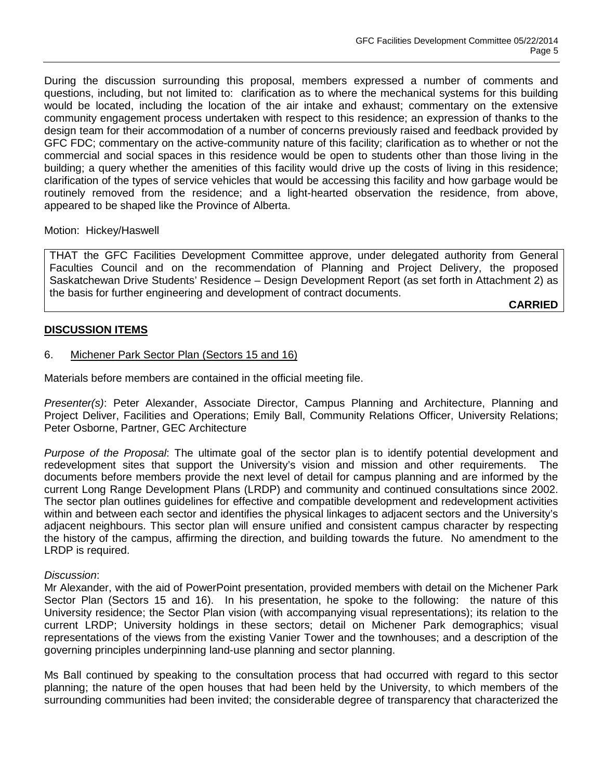During the discussion surrounding this proposal, members expressed a number of comments and questions, including, but not limited to: clarification as to where the mechanical systems for this building would be located, including the location of the air intake and exhaust; commentary on the extensive community engagement process undertaken with respect to this residence; an expression of thanks to the design team for their accommodation of a number of concerns previously raised and feedback provided by GFC FDC; commentary on the active-community nature of this facility; clarification as to whether or not the commercial and social spaces in this residence would be open to students other than those living in the building; a query whether the amenities of this facility would drive up the costs of living in this residence; clarification of the types of service vehicles that would be accessing this facility and how garbage would be routinely removed from the residence; and a light-hearted observation the residence, from above, appeared to be shaped like the Province of Alberta.

Motion: Hickey/Haswell

THAT the GFC Facilities Development Committee approve, under delegated authority from General Faculties Council and on the recommendation of Planning and Project Delivery, the proposed Saskatchewan Drive Students' Residence – Design Development Report (as set forth in Attachment 2) as the basis for further engineering and development of contract documents.

**CARRIED**

### **DISCUSSION ITEMS**

### 6. Michener Park Sector Plan (Sectors 15 and 16)

Materials before members are contained in the official meeting file.

*Presenter(s)*: Peter Alexander, Associate Director, Campus Planning and Architecture, Planning and Project Deliver, Facilities and Operations; Emily Ball, Community Relations Officer, University Relations; Peter Osborne, Partner, GEC Architecture

*Purpose of the Proposal*: The ultimate goal of the sector plan is to identify potential development and redevelopment sites that support the University's vision and mission and other requirements. The documents before members provide the next level of detail for campus planning and are informed by the current Long Range Development Plans (LRDP) and community and continued consultations since 2002. The sector plan outlines guidelines for effective and compatible development and redevelopment activities within and between each sector and identifies the physical linkages to adjacent sectors and the University's adjacent neighbours. This sector plan will ensure unified and consistent campus character by respecting the history of the campus, affirming the direction, and building towards the future. No amendment to the LRDP is required.

#### *Discussion*:

Mr Alexander, with the aid of PowerPoint presentation, provided members with detail on the Michener Park Sector Plan (Sectors 15 and 16). In his presentation, he spoke to the following: the nature of this University residence; the Sector Plan vision (with accompanying visual representations); its relation to the current LRDP; University holdings in these sectors; detail on Michener Park demographics; visual representations of the views from the existing Vanier Tower and the townhouses; and a description of the governing principles underpinning land-use planning and sector planning.

Ms Ball continued by speaking to the consultation process that had occurred with regard to this sector planning; the nature of the open houses that had been held by the University, to which members of the surrounding communities had been invited; the considerable degree of transparency that characterized the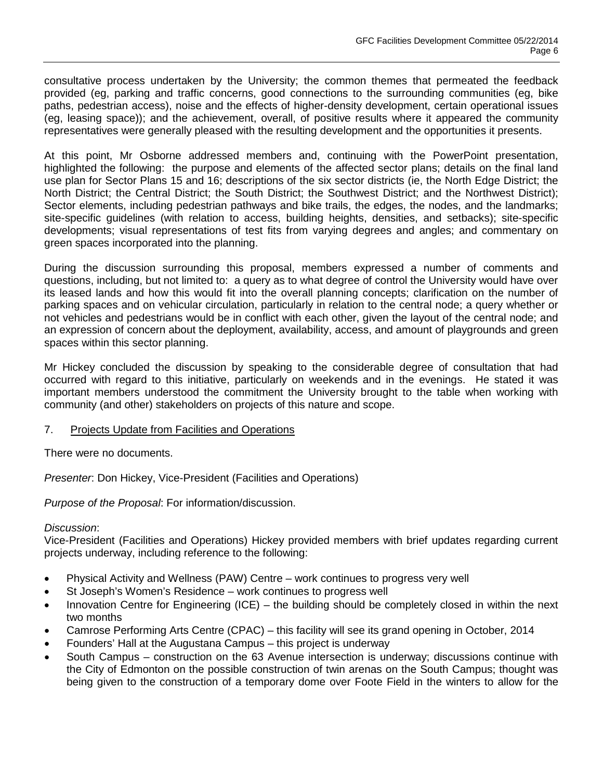consultative process undertaken by the University; the common themes that permeated the feedback provided (eg, parking and traffic concerns, good connections to the surrounding communities (eg, bike paths, pedestrian access), noise and the effects of higher-density development, certain operational issues (eg, leasing space)); and the achievement, overall, of positive results where it appeared the community representatives were generally pleased with the resulting development and the opportunities it presents.

At this point, Mr Osborne addressed members and, continuing with the PowerPoint presentation, highlighted the following: the purpose and elements of the affected sector plans; details on the final land use plan for Sector Plans 15 and 16; descriptions of the six sector districts (ie, the North Edge District; the North District; the Central District; the South District; the Southwest District; and the Northwest District); Sector elements, including pedestrian pathways and bike trails, the edges, the nodes, and the landmarks; site-specific guidelines (with relation to access, building heights, densities, and setbacks); site-specific developments; visual representations of test fits from varying degrees and angles; and commentary on green spaces incorporated into the planning.

During the discussion surrounding this proposal, members expressed a number of comments and questions, including, but not limited to: a query as to what degree of control the University would have over its leased lands and how this would fit into the overall planning concepts; clarification on the number of parking spaces and on vehicular circulation, particularly in relation to the central node; a query whether or not vehicles and pedestrians would be in conflict with each other, given the layout of the central node; and an expression of concern about the deployment, availability, access, and amount of playgrounds and green spaces within this sector planning.

Mr Hickey concluded the discussion by speaking to the considerable degree of consultation that had occurred with regard to this initiative, particularly on weekends and in the evenings. He stated it was important members understood the commitment the University brought to the table when working with community (and other) stakeholders on projects of this nature and scope.

7. Projects Update from Facilities and Operations

There were no documents.

*Presenter*: Don Hickey, Vice-President (Facilities and Operations)

*Purpose of the Proposal*: For information/discussion.

#### *Discussion*:

Vice-President (Facilities and Operations) Hickey provided members with brief updates regarding current projects underway, including reference to the following:

- Physical Activity and Wellness (PAW) Centre work continues to progress very well
- St Joseph's Women's Residence work continues to progress well
- Innovation Centre for Engineering (ICE) the building should be completely closed in within the next two months
- Camrose Performing Arts Centre (CPAC) this facility will see its grand opening in October, 2014
- Founders' Hall at the Augustana Campus this project is underway
- South Campus construction on the 63 Avenue intersection is underway; discussions continue with the City of Edmonton on the possible construction of twin arenas on the South Campus; thought was being given to the construction of a temporary dome over Foote Field in the winters to allow for the